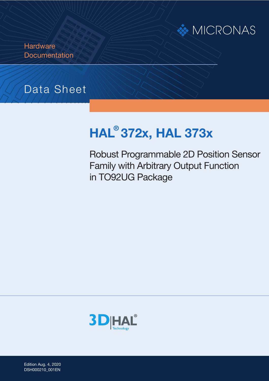

**Hardware Documentation** 

# Data Sheet

# **HAL ® 372x, HAL 373x**

Robust Programmable 2D Position Sensor Family with Arbitrary Output Function in TO92UG Package



Edition Aug. 4, 2020 DSH000210\_001EN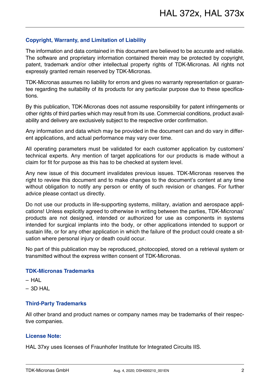#### **Copyright, Warranty, and Limitation of Liability**

The information and data contained in this document are believed to be accurate and reliable. The software and proprietary information contained therein may be protected by copyright, patent, trademark and/or other intellectual property rights of TDK-Micronas. All rights not expressly granted remain reserved by TDK-Micronas.

TDK-Micronas assumes no liability for errors and gives no warranty representation or guarantee regarding the suitability of its products for any particular purpose due to these specifications.

By this publication, TDK-Micronas does not assume responsibility for patent infringements or other rights of third parties which may result from its use. Commercial conditions, product availability and delivery are exclusively subject to the respective order confirmation.

Any information and data which may be provided in the document can and do vary in different applications, and actual performance may vary over time.

All operating parameters must be validated for each customer application by customers' technical experts. Any mention of target applications for our products is made without a claim for fit for purpose as this has to be checked at system level.

Any new issue of this document invalidates previous issues. TDK-Micronas reserves the right to review this document and to make changes to the document's content at any time without obligation to notify any person or entity of such revision or changes. For further advice please contact us directly.

Do not use our products in life-supporting systems, military, aviation and aerospace applications! Unless explicitly agreed to otherwise in writing between the parties, TDK-Micronas' products are not designed, intended or authorized for use as components in systems intended for surgical implants into the body, or other applications intended to support or sustain life, or for any other application in which the failure of the product could create a situation where personal injury or death could occur.

No part of this publication may be reproduced, photocopied, stored on a retrieval system or transmitted without the express written consent of TDK-Micronas.

#### **TDK-Micronas Trademarks**

- HAL
- $-$  3D HAL

#### **Third-Party Trademarks**

All other brand and product names or company names may be trademarks of their respective companies.

#### **License Note:**

HAL 37xy uses licenses of Fraunhofer Institute for Integrated Circuits IIS.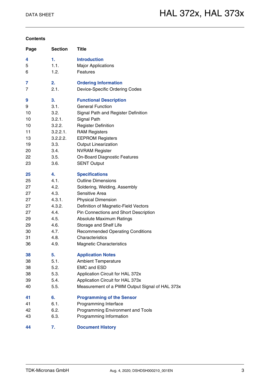#### **Contents**

| Page | <b>Section</b> | Title                                          |
|------|----------------|------------------------------------------------|
| 4    | 1.             | <b>Introduction</b>                            |
| 5    | 1.1.           | <b>Major Applications</b>                      |
| 6    | 1.2.           | Features                                       |
| 7    | 2.             | <b>Ordering Information</b>                    |
| 7    | 2.1.           | Device-Specific Ordering Codes                 |
| 9    | 3.             | <b>Functional Description</b>                  |
| 9    | 3.1.           | <b>General Function</b>                        |
| 10   | 3.2.           | Signal Path and Register Definition            |
| 10   | 3.2.1.         | Signal Path                                    |
| 10   | 3.2.2.         | <b>Register Definition</b>                     |
| 11   | 3.2.2.1.       | <b>RAM Registers</b>                           |
| 13   | 3.2.2.2.       | <b>EEPROM Registers</b>                        |
| 19   | 3.3.           | <b>Output Linearization</b>                    |
| 20   | 3.4.           | <b>NVRAM Register</b>                          |
| 22   | 3.5.           | <b>On-Board Diagnostic Features</b>            |
| 23   | 3.6.           | <b>SENT Output</b>                             |
| 25   | 4.             | <b>Specifications</b>                          |
| 25   | 4.1.           | <b>Outline Dimensions</b>                      |
| 27   | 4.2.           | Soldering, Welding, Assembly                   |
| 27   | 4.3.           | Sensitive Area                                 |
| 27   | 4.3.1.         | <b>Physical Dimension</b>                      |
| 27   | 4.3.2.         | Definition of Magnetic-Field Vectors           |
| 27   | 4.4.           | Pin Connections and Short Description          |
| 29   | 4.5.           | <b>Absolute Maximum Ratings</b>                |
| 29   | 4.6.           | Storage and Shelf Life                         |
| 30   | 4.7.           | <b>Recommended Operating Conditions</b>        |
| 31   | 4.8.           | Characteristics                                |
| 36   | 4.9.           | <b>Magnetic Characteristics</b>                |
| 38   | 5.             | <b>Application Notes</b>                       |
| 38   | 5.1.           | <b>Ambient Temperature</b>                     |
| 38   | 5.2.           | <b>EMC and ESD</b>                             |
| 38   | 5.3.           | Application Circuit for HAL 372x               |
| 39   | 5.4.           | Application Circuit for HAL 373x               |
| 40   | 5.5.           | Measurement of a PWM Output Signal of HAL 373x |
| 41   | 6.             | <b>Programming of the Sensor</b>               |
| 41   | 6.1.           | Programming Interface                          |
| 42   | 6.2.           | Programming Environment and Tools              |
| 43   | 6.3.           | Programming Information                        |
| 44   | 7.             | <b>Document History</b>                        |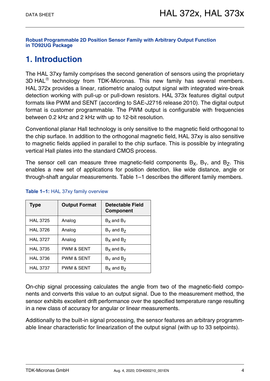**[Robust Programmable 2D Position Sensor Family with Arbitrary Output Function](#page--1-0)  [in TO92UG Package](#page--1-0)**

# <span id="page-3-0"></span>**1. Introduction**

The HAL 37xy family comprises the second generation of sensors using the proprietary  $3D HAL<sup>®</sup>$  technology from TDK-Micronas. This new family has several members. HAL 372x provides a linear, ratiometric analog output signal with integrated wire-break detection working with pull-up or pull-down resistors. HAL 373x features digital output formats like PWM and SENT (according to SAE-J2716 release 2010). The digital output format is customer programmable. The PWM output is configurable with frequencies between 0.2 kHz and 2 kHz with up to 12-bit resolution.

Conventional planar Hall technology is only sensitive to the magnetic field orthogonal to the chip surface. In addition to the orthogonal magnetic field, HAL 37xy is also sensitive to magnetic fields applied in parallel to the chip surface. This is possible by integrating vertical Hall plates into the standard CMOS process.

The sensor cell can measure three magnetic-field components  $B_x$ ,  $B_y$ , and  $B_z$ . This enables a new set of applications for position detection, like wide distance, angle or through-shaft angular measurements. [Table 1–1](#page-3-1) describes the different family members.

| <b>Type</b>     | <b>Output Format</b><br><b>Detectable Field</b><br><b>Component</b> |                             |
|-----------------|---------------------------------------------------------------------|-----------------------------|
| <b>HAL 3725</b> | Analog                                                              | $Bx$ and $By$               |
| <b>HAL 3726</b> | Analog                                                              | $B_{\rm Y}$ and $B_{\rm Z}$ |
| <b>HAL 3727</b> | Analog                                                              | $B_x$ and $B_z$             |
| <b>HAL 3735</b> | <b>PWM &amp; SENT</b>                                               | $Bx$ and $By$               |
| <b>HAL 3736</b> | <b>PWM &amp; SENT</b>                                               | $B_{\rm Y}$ and $B_{\rm Z}$ |
| <b>HAL 3737</b> | <b>PWM &amp; SENT</b>                                               | $B_x$ and $B_z$             |

#### <span id="page-3-1"></span>**Table 1–1:** HAL 37xy family overview

On-chip signal processing calculates the angle from two of the magnetic-field components and converts this value to an output signal. Due to the measurement method, the sensor exhibits excellent drift performance over the specified temperature range resulting in a new class of accuracy for angular or linear measurements.

Additionally to the built-in signal processing, the sensor features an arbitrary programmable linear characteristic for linearization of the output signal (with up to 33 setpoints).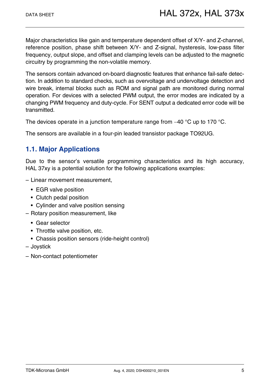Major characteristics like gain and temperature dependent offset of X/Y- and Z-channel, reference position, phase shift between X/Y- and Z-signal, hysteresis, low-pass filter frequency, output slope, and offset and clamping levels can be adjusted to the magnetic circuitry by programming the non-volatile memory.

The sensors contain advanced on-board diagnostic features that enhance fail-safe detection. In addition to standard checks, such as overvoltage and undervoltage detection and wire break, internal blocks such as ROM and signal path are monitored during normal operation. For devices with a selected PWM output, the error modes are indicated by a changing PWM frequency and duty-cycle. For SENT output a dedicated error code will be transmitted.

The devices operate in a junction temperature range from  $-40$  °C up to 170 °C.

The sensors are available in a four-pin leaded transistor package TO92UG.

### <span id="page-4-0"></span>**1.1. Major Applications**

Due to the sensor's versatile programming characteristics and its high accuracy, HAL 37xy is a potential solution for the following applications examples:

- Linear movement measurement,
	- EGR valve position
	- Clutch pedal position
	- Cylinder and valve position sensing
- Rotary position measurement, like
	- Gear selector
	- Throttle valve position, etc.
	- Chassis position sensors (ride-height control)
- Joystick
- Non-contact potentiometer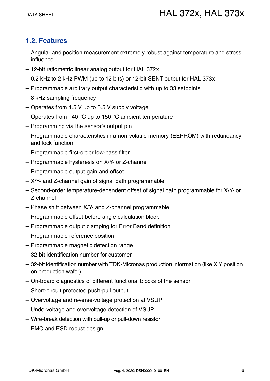# <span id="page-5-0"></span>**1.2. Features**

- Angular and position measurement extremely robust against temperature and stress influence
- 12-bit ratiometric linear analog output for HAL 372x
- 0.2 kHz to 2 kHz PWM (up to 12 bits) or 12-bit SENT output for HAL 373x
- Programmable arbitrary output characteristic with up to 33 setpoints
- 8 kHz sampling frequency
- Operates from 4.5 V up to 5.5 V supply voltage
- Operates from  $-40$  °C up to 150 °C ambient temperature
- Programming via the sensor's output pin
- Programmable characteristics in a non-volatile memory (EEPROM) with redundancy and lock function
- Programmable first-order low-pass filter
- Programmable hysteresis on X/Y- or Z-channel
- Programmable output gain and offset
- X/Y- and Z-channel gain of signal path programmable
- Second-order temperature-dependent offset of signal path programmable for X/Y- or Z-channel
- Phase shift between X/Y- and Z-channel programmable
- Programmable offset before angle calculation block
- Programmable output clamping for Error Band definition
- Programmable reference position
- Programmable magnetic detection range
- 32-bit identification number for customer
- 32-bit identification number with TDK-Micronas production information (like X,Y position on production wafer)
- On-board diagnostics of different functional blocks of the sensor
- Short-circuit protected push-pull output
- Overvoltage and reverse-voltage protection at VSUP
- Undervoltage and overvoltage detection of VSUP
- Wire-break detection with pull-up or pull-down resistor
- EMC and ESD robust design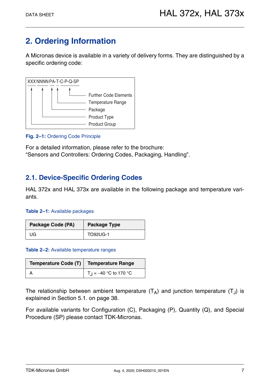# <span id="page-6-0"></span>**2. Ordering Information**

A Micronas device is available in a variety of delivery forms. They are distinguished by a specific ordering code:



#### **Fig. 2–1:** Ordering Code Principle

For a detailed information, please refer to the brochure: "Sensors and Controllers: Ordering Codes, Packaging, Handling".

### <span id="page-6-1"></span>**2.1. Device-Specific Ordering Codes**

HAL 372x and HAL 373x are available in the following package and temperature variants.

#### **Table 2–1:** Available packages

| <b>Package Code (PA)</b> | <b>Package Type</b> |  |
|--------------------------|---------------------|--|
| UG.                      | <b>TO92UG-1</b>     |  |

#### **Table 2–2:** Available temperature ranges

| Temperature Code (T)   Temperature Range |                                |  |
|------------------------------------------|--------------------------------|--|
|                                          | $T_{\rm J} = -40$ °C to 170 °C |  |

The relationship between ambient temperature  $(T_A)$  and junction temperature  $(T_A)$  is explained in [Section 5.1. on page 38.](#page-37-4)

For available variants for Configuration (C), Packaging (P), Quantity (Q), and Special Procedure (SP) please contact TDK-Micronas.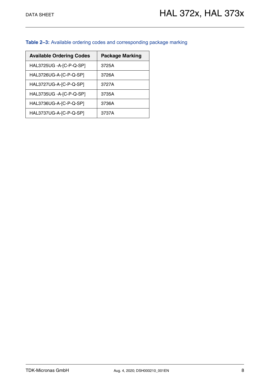#### **Table 2–3:** Available ordering codes and corresponding package marking

| <b>Available Ordering Codes</b> | <b>Package Marking</b> |
|---------------------------------|------------------------|
| HAL3725UG -A-[C-P-Q-SP]         | 3725A                  |
| HAL3726UG-A-[C-P-Q-SP]          | 3726A                  |
| HAL3727UG-A-[C-P-Q-SP]          | 3727A                  |
| HAL3735UG - A-[C-P-Q-SP]        | 3735A                  |
| HAL3736UG-A-[C-P-Q-SP]          | 3736A                  |
| HAL3737UG-A-[C-P-Q-SP]          | 3737A                  |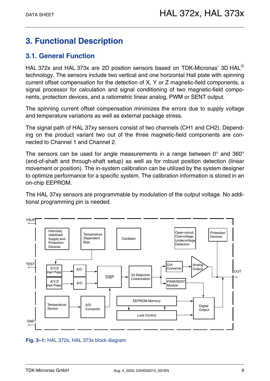# <span id="page-8-0"></span>**3. Functional Description**

# <span id="page-8-1"></span>**3.1. General Function**

HAL 372x and HAL 373x are 2D position sensors based on TDK-Micronas' 3D HAL<sup>®</sup> technology. The sensors include two vertical and one horizontal Hall plate with spinning current offset compensation for the detection of X, Y or Z magnetic-field components, a signal processor for calculation and signal conditioning of two magnetic-field components, protection devices, and a ratiometric linear analog, PWM or SENT output.

The spinning current offset compensation minimizes the errors due to supply voltage and temperature variations as well as external package stress.

The signal path of HAL 37xy sensors consist of two channels (CH1 and CH2). Depending on the product variant two out of the three magnetic-field components are connected to Channel 1 and Channel 2.

The sensors can be used for angle measurements in a range between 0° and 360° (end-of-shaft and through-shaft setup) as well as for robust position detection (linear movement or position). The in-system calibration can be utilized by the system designer to optimize performance for a specific system. The calibration information is stored in an on-chip EEPROM.

The HAL 37xy sensors are programmable by modulation of the output voltage. No additional programming pin is needed.



**Fig. 3–1:** HAL 372x, HAL 373x block diagram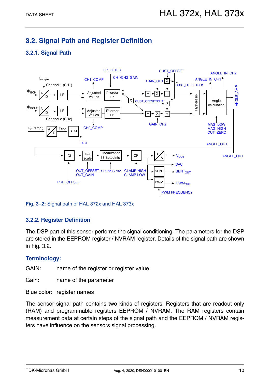# <span id="page-9-0"></span>**3.2. Signal Path and Register Definition**

### <span id="page-9-1"></span>**3.2.1. Signal Path**



**Fig. 3–2:** Signal path of HAL 372x and HAL 373x

#### <span id="page-9-2"></span>**3.2.2. Register Definition**

The DSP part of this sensor performs the signal conditioning. The parameters for the DSP are stored in the EEPROM register / NVRAM register. Details of the signal path are shown in [Fig. 3.2.](#page-9-0)

#### **Terminology:**

GAIN: name of the register or register value

Gain: name of the parameter

Blue color: register names

The sensor signal path contains two kinds of registers. Registers that are readout only (RAM) and programmable registers EEPROM / NVRAM. The RAM registers contain measurement data at certain steps of the signal path and the EEPROM / NVRAM registers have influence on the sensors signal processing.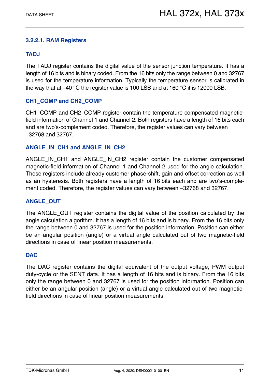#### <span id="page-10-0"></span>**3.2.2.1. RAM Registers**

#### **TADJ**

The TADJ register contains the digital value of the sensor junction temperature. It has a length of 16 bits and is binary coded. From the 16 bits only the range between 0 and 32767 is used for the temperature information. Typically the temperature sensor is calibrated in the way that at  $-40$  °C the register value is 100 LSB and at 160 °C it is 12000 LSB.

#### **CH1\_COMP and CH2\_COMP**

CH1\_COMP and CH2\_COMP register contain the temperature compensated magneticfield information of Channel 1 and Channel 2. Both registers have a length of 16 bits each and are two's-complement coded. Therefore, the register values can vary between 32768 and 32767.

#### **ANGLE\_IN\_CH1 and ANGLE\_IN\_CH2**

ANGLE IN CH1 and ANGLE IN CH2 register contain the customer compensated magnetic-field information of Channel 1 and Channel 2 used for the angle calculation. These registers include already customer phase-shift, gain and offset correction as well as an hysteresis. Both registers have a length of 16 bits each and are two's-complement coded. Therefore, the register values can vary between -32768 and 32767.

#### **ANGLE\_OUT**

The ANGLE\_OUT register contains the digital value of the position calculated by the angle calculation algorithm. It has a length of 16 bits and is binary. From the 16 bits only the range between 0 and 32767 is used for the position information. Position can either be an angular position (angle) or a virtual angle calculated out of two magnetic-field directions in case of linear position measurements.

#### **DAC**

The DAC register contains the digital equivalent of the output voltage, PWM output duty-cycle or the SENT data. It has a length of 16 bits and is binary. From the 16 bits only the range between 0 and 32767 is used for the position information. Position can either be an angular position (angle) or a virtual angle calculated out of two magneticfield directions in case of linear position measurements.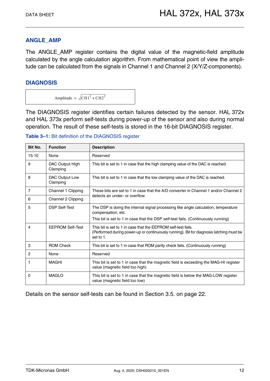#### **ANGLE\_AMP**

The ANGLE\_AMP register contains the digital value of the magnetic-field amplitude calculated by the angle calculation algorithm. From mathematical point of view the amplitude can be calculated from the signals in Channel 1 and Channel 2 (X/Y/Z-components).

#### **DIAGNOSIS**

Amplitude =  $\sqrt{\text{CH1}^2 + \text{CH2}^2}$ 

The DIAGNOSIS register identifies certain failures detected by the sensor. HAL 372x and HAL 373x perform self-tests during power-up of the sensor and also during normal operation. The result of these self-tests is stored in the 16-bit DIAGNOSIS register.

| Bit No.        | <b>Function</b>             | <b>Description</b>                                                                                                                                                                             |  |
|----------------|-----------------------------|------------------------------------------------------------------------------------------------------------------------------------------------------------------------------------------------|--|
| 15:10          | None                        | Reserved                                                                                                                                                                                       |  |
| 9              | DAC Output High<br>Clamping | This bit is set to 1 in case that the high clamping value of the DAC is reached.                                                                                                               |  |
| 8              | DAC Output Low<br>Clamping  | This bit is set to 1 in case that the low clamping value of the DAC is reached.                                                                                                                |  |
| $\overline{7}$ | Channel 1 Clipping          | These bits are set to 1 in case that the A/D converter in Channel 1 and/or Channel 2                                                                                                           |  |
| 6              | Channel 2 Clipping          | detects an under- or overflow                                                                                                                                                                  |  |
| 5              | <b>DSP Self-Test</b>        | The DSP is doing the internal signal processing like angle calculation, temperature<br>compensation, etc.<br>This bit is set to 1 in case that the DSP self-test fails. (Continuously running) |  |
| 4              | <b>EEPROM Self-Test</b>     | This bit is set to 1 in case that the EEPROM self-test fails.<br>(Performed during power-up or continuously running). Bit for diagnosis latching must be<br>set to 1.                          |  |
| 3              | <b>ROM Check</b>            | This bit is set to 1 in case that ROM parity check fails. (Continuously running)                                                                                                               |  |
| 2              | None                        | Reserved                                                                                                                                                                                       |  |
| 1              | <b>MAGHI</b>                | This bit is set to 1 in case that the magnetic field is exceeding the MAG-HI register<br>value (magnetic field too high)                                                                       |  |
| 0              | <b>MAGLO</b>                | This bit is set to 1 in case that the magnetic field is below the MAG-LOW register<br>value (magnetic field too low)                                                                           |  |

**Table 3–1:** Bit definition of the DIAGNOSIS register

Details on the sensor self-tests can be found in [Section 3.5. on page 22.](#page-21-0)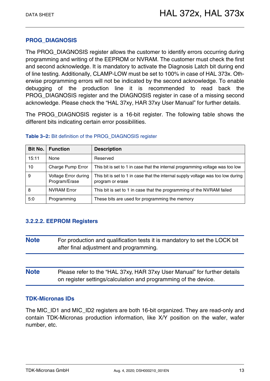#### **PROG\_DIAGNOSIS**

The PROG\_DIAGNOSIS register allows the customer to identify errors occurring during programming and writing of the EEPROM or NVRAM. The customer must check the first and second acknowledge. It is mandatory to activate the Diagnosis Latch bit during end of line testing. Additionally, CLAMP-LOW must be set to 100% in case of HAL 373x. Otherwise programming errors will not be indicated by the second acknowledge. To enable debugging of the production line it is recommended to read back the PROG\_DIAGNOSIS register and the DIAGNOSIS register in case of a missing second acknowledge. Please check the "HAL 37xy, HAR 37xy User Manual" for further details.

The PROG\_DIAGNOSIS register is a 16-bit register. The following table shows the different bits indicating certain error possibilities.

| <b>Bit No.</b> | <b>Function</b>                       | <b>Description</b>                                                                                   |  |
|----------------|---------------------------------------|------------------------------------------------------------------------------------------------------|--|
| 15:11          | None                                  | Reserved                                                                                             |  |
| 10             | Charge Pump Error                     | This bit is set to 1 in case that the internal programming voltage was too low                       |  |
| 9              | Voltage Error during<br>Program/Erase | This bit is set to 1 in case that the internal supply voltage was too low during<br>program or erase |  |
| 8              | <b>NVRAM Error</b>                    | This bit is set to 1 in case that the programming of the NVRAM failed                                |  |
| 5:0            | Programming                           | These bits are used for programming the memory                                                       |  |

#### **Table 3–2:** Bit definition of the PROG\_DIAGNOSIS register

#### <span id="page-12-0"></span>**3.2.2.2. EEPROM Registers**

- **Note** For production and qualification tests it is mandatory to set the LOCK bit after final adjustment and programming.
- **Note** Please refer to the "HAL 37xy, HAR 37xy User Manual" for further details on register settings/calculation and programming of the device.

#### **TDK-Micronas IDs**

The MIC\_ID1 and MIC\_ID2 registers are both 16-bit organized. They are read-only and contain TDK-Micronas production information, like X/Y position on the wafer, wafer number, etc.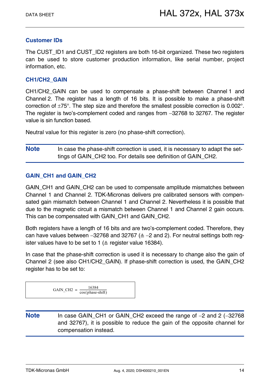#### **Customer IDs**

The CUST ID1 and CUST ID2 registers are both 16-bit organized. These two registers can be used to store customer production information, like serial number, project information, etc.

#### **CH1/CH2\_GAIN**

CH1/CH2 GAIN can be used to compensate a phase-shift between Channel 1 and Channel 2. The register has a length of 16 bits. It is possible to make a phase-shift correction of  $\pm 75^{\circ}$ . The step size and therefore the smallest possible correction is 0.002 $^{\circ}$ . The register is two's-complement coded and ranges from -32768 to 32767. The register value is sin function based.

Neutral value for this register is zero (no phase-shift correction).

**Note** In case the phase-shift correction is used, it is necessary to adapt the settings of GAIN\_CH2 too. For details see definition of GAIN\_CH2.

#### **GAIN\_CH1 and GAIN\_CH2**

GAIN CH1 and GAIN CH2 can be used to compensate amplitude mismatches between Channel 1 and Channel 2. TDK-Micronas delivers pre calibrated sensors with compensated gain mismatch between Channel 1 and Channel 2. Nevertheless it is possible that due to the magnetic circuit a mismatch between Channel 1 and Channel 2 gain occurs. This can be compensated with GAIN\_CH1 and GAIN\_CH2.

Both registers have a length of 16 bits and are two's-complement coded. Therefore, they can have values between  $-32768$  and  $32767$  ( $\triangleq -2$  and 2). For neutral settings both register values have to be set to 1 ( $\triangle$  register value 16384).

In case that the phase-shift correction is used it is necessary to change also the gain of Channel 2 (see also CH1/CH2\_GAIN). If phase-shift correction is used, the GAIN\_CH2 register has to be set to:

$$
GAIN\_CH2 = \frac{16384}{\cos(\text{phase-shift})}
$$

Note In case GAIN CH1 or GAIN CH2 exceed the range of -2 and 2 (-32768) and 32767), it is possible to reduce the gain of the opposite channel for compensation instead.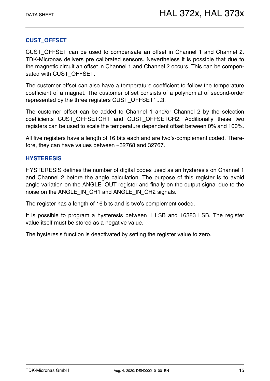#### **CUST\_OFFSET**

CUST OFFSET can be used to compensate an offset in Channel 1 and Channel 2. TDK-Micronas delivers pre calibrated sensors. Nevertheless it is possible that due to the magnetic circuit an offset in Channel 1 and Channel 2 occurs. This can be compensated with CUST\_OFFSET.

The customer offset can also have a temperature coefficient to follow the temperature coefficient of a magnet. The customer offset consists of a polynomial of second-order represented by the three registers CUST\_OFFSET1...3.

The customer offset can be added to Channel 1 and/or Channel 2 by the selection coefficients CUST OFFSETCH1 and CUST OFFSETCH2. Additionally these two registers can be used to scale the temperature dependent offset between 0% and 100%.

All five registers have a length of 16 bits each and are two's-complement coded. Therefore, they can have values between -32768 and 32767.

#### **HYSTERESIS**

HYSTERESIS defines the number of digital codes used as an hysteresis on Channel 1 and Channel 2 before the angle calculation. The purpose of this register is to avoid angle variation on the ANGLE\_OUT register and finally on the output signal due to the noise on the ANGLE\_IN\_CH1 and ANGLE\_IN\_CH2 signals.

The register has a length of 16 bits and is two's complement coded.

It is possible to program a hysteresis between 1 LSB and 16383 LSB. The register value itself must be stored as a negative value.

The hysteresis function is deactivated by setting the register value to zero.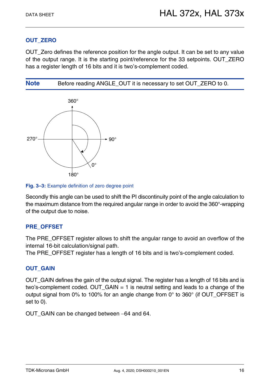#### **OUT\_ZERO**

OUT\_Zero defines the reference position for the angle output. It can be set to any value of the output range. It is the starting point/reference for the 33 setpoints. OUT\_ZERO has a register length of 16 bits and it is two's-complement coded.







Secondly this angle can be used to shift the PI discontinuity point of the angle calculation to the maximum distance from the required angular range in order to avoid the 360°-wrapping of the output due to noise.

#### **PRE\_OFFSET**

The PRE\_OFFSET register allows to shift the angular range to avoid an overflow of the internal 16-bit calculation/signal path.

The PRE OFFSET register has a length of 16 bits and is two's-complement coded.

#### **OUT\_GAIN**

OUT GAIN defines the gain of the output signal. The register has a length of 16 bits and is two's-complement coded. OUT  $GAIN = 1$  is neutral setting and leads to a change of the output signal from 0% to 100% for an angle change from 0 $\degree$  to 360 $\degree$  (if OUT\_OFFSET is set to 0).

OUT\_GAIN can be changed between -64 and 64.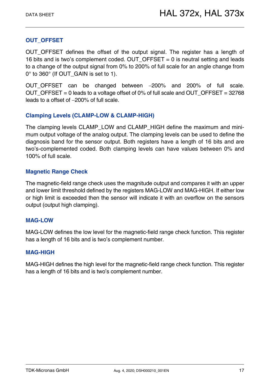#### **OUT\_OFFSET**

OUT OFFSET defines the offset of the output signal. The register has a length of 16 bits and is two's complement coded. OUT OFFSET  $= 0$  is neutral setting and leads to a change of the output signal from 0% to 200% of full scale for an angle change from 0° to 360° (If OUT GAIN is set to 1).

OUT OFFSET can be changed between -200% and 200% of full scale. OUT OFFSET = 0 leads to a voltage offset of 0% of full scale and OUT OFFSET =  $32768$ leads to a offset of -200% of full scale.

#### **Clamping Levels (CLAMP-LOW & CLAMP-HIGH)**

The clamping levels CLAMP\_LOW and CLAMP\_HIGH define the maximum and minimum output voltage of the analog output. The clamping levels can be used to define the diagnosis band for the sensor output. Both registers have a length of 16 bits and are two's-complemented coded. Both clamping levels can have values between 0% and 100% of full scale.

#### **Magnetic Range Check**

The magnetic-field range check uses the magnitude output and compares it with an upper and lower limit threshold defined by the registers MAG-LOW and MAG-HIGH. If either low or high limit is exceeded then the sensor will indicate it with an overflow on the sensors output (output high clamping).

#### **MAG-LOW**

MAG-LOW defines the low level for the magnetic-field range check function. This register has a length of 16 bits and is two's complement number.

#### **MAG-HIGH**

MAG-HIGH defines the high level for the magnetic-field range check function. This register has a length of 16 bits and is two's complement number.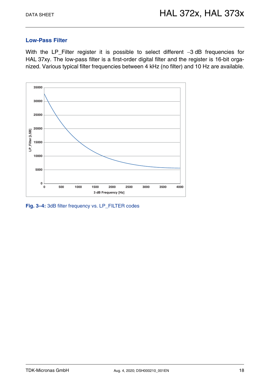#### **Low-Pass Filter**

With the LP\_Filter register it is possible to select different  $-3$  dB frequencies for HAL 37xy. The low-pass filter is a first-order digital filter and the register is 16-bit organized. Various typical filter frequencies between 4 kHz (no filter) and 10 Hz are available.



**Fig. 3–4:** 3dB filter frequency vs. LP\_FILTER codes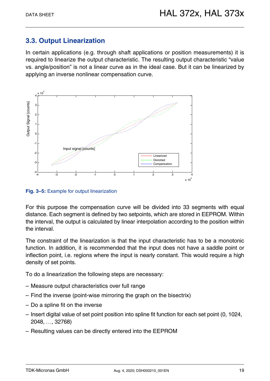# <span id="page-18-0"></span>**3.3. Output Linearization**

In certain applications (e.g. through shaft applications or position measurements) it is required to linearize the output characteristic. The resulting output characteristic "value vs. angle/position" is not a linear curve as in the ideal case. But it can be linearized by applying an inverse nonlinear compensation curve.



**Fig. 3–5:** Example for output linearization

For this purpose the compensation curve will be divided into 33 segments with equal distance. Each segment is defined by two setpoints, which are stored in EEPROM. Within the interval, the output is calculated by linear interpolation according to the position within the interval.

The constraint of the linearization is that the input characteristic has to be a monotonic function. In addition, it is recommended that the input does not have a saddle point or inflection point, i.e. regions where the input is nearly constant. This would require a high density of set points.

To do a linearization the following steps are necessary:

- Measure output characteristics over full range
- Find the inverse (point-wise mirroring the graph on the bisectrix)
- Do a spline fit on the inverse
- Insert digital value of set point position into spline fit function for each set point (0, 1024, 2048, , 32768)
- Resulting values can be directly entered into the EEPROM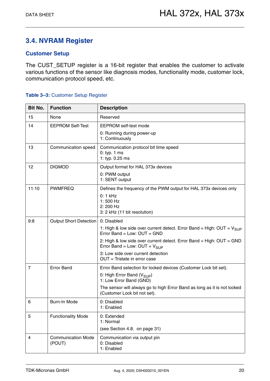# <span id="page-19-0"></span>**3.4. NVRAM Register**

#### **Customer Setup**

The CUST\_SETUP register is a 16-bit register that enables the customer to activate various functions of the sensor like diagnosis modes, functionality mode, customer lock, communication protocol speed, etc.

#### <span id="page-19-2"></span><span id="page-19-1"></span>**Table 3–3:** Customer Setup Register

| Bit No.        | <b>Function</b>                     | <b>Description</b>                                                                                                                                                                                                                                                          |  |
|----------------|-------------------------------------|-----------------------------------------------------------------------------------------------------------------------------------------------------------------------------------------------------------------------------------------------------------------------------|--|
| 15             | None                                | Reserved                                                                                                                                                                                                                                                                    |  |
| 14             | <b>EEPROM Self-Test</b>             | EEPROM self-test mode<br>0: Running during power-up<br>1: Continuously                                                                                                                                                                                                      |  |
| 13             | Communication speed                 | Communication protocol bit time speed<br>$0:$ typ. 1 ms<br>1: typ. 0.25 ms                                                                                                                                                                                                  |  |
| 12             | <b>DIGMOD</b>                       | Output format for HAL 373x devices<br>0: PWM output<br>1: SENT output                                                                                                                                                                                                       |  |
| 11:10          | <b>PWMFREQ</b>                      | Defines the frequency of the PWM output for HAL 373x devices only<br>$0:1$ kHz<br>$1:500$ Hz<br>2: 200 Hz<br>3: 2 kHz (11 bit resolution)                                                                                                                                   |  |
| 9:8            | Output Short Detection              | 0: Disabled<br>1: High & low side over current detect. Error Band = High: $OUT = V_{SUP}$<br>Error Band = Low: OUT = GND<br>2: High & low side over current detect. Error Band = High: OUT = GND<br>Error Band = Low: $OUT = V_{SUP}$<br>3: Low side over current detection |  |
|                |                                     | $OUT = Tristate$ in error case                                                                                                                                                                                                                                              |  |
| $\overline{7}$ | <b>Error Band</b>                   | Error Band selection for locked devices (Customer Lock bit set).<br>0: High Error Band ( $V_{\text{SUP}}$ )<br>1: Low Error Band (GND)<br>The sensor will always go to high Error Band as long as it is not locked<br>(Customer Lock bit not set).                          |  |
| 6              | Burn-In Mode                        | 0: Disabled<br>1: Enabled                                                                                                                                                                                                                                                   |  |
| 5              | <b>Functionality Mode</b>           | 0: Extended<br>1: Normal<br>(see Section 4.8. on page 31)                                                                                                                                                                                                                   |  |
| 4              | <b>Communication Mode</b><br>(POUT) | Communication via output pin<br>0: Disabled<br>1: Enabled                                                                                                                                                                                                                   |  |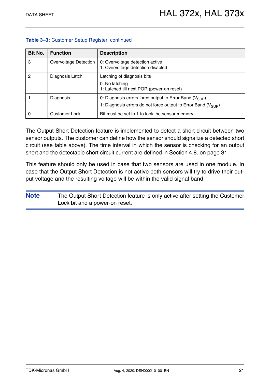| Bit No. | <b>Function</b>       | <b>Description</b>                                                              |  |
|---------|-----------------------|---------------------------------------------------------------------------------|--|
| 3       | Overvoltage Detection | 0: Overvoltage detection active<br>1: Overvoltage detection disabled            |  |
| 2       | Diagnosis Latch       | Latching of diagnosis bits                                                      |  |
|         |                       | 0: No latching<br>1: Latched till next POR (power-on reset)                     |  |
|         | Diagnosis             | 0: Diagnosis errors force output to Error Band ( $V_{\text{SUP}}$ )             |  |
|         |                       | 1: Diagnosis errors do not force output to Error Band ( $V_{SI}$ <sub>P</sub> ) |  |
| 0       | Customer Lock         | Bit must be set to 1 to lock the sensor memory                                  |  |

#### **Table 3–3:** Customer Setup Register, continued

The Output Short Detection feature is implemented to detect a short circuit between two sensor outputs. The customer can define how the sensor should signalize a detected short circuit (see table above). The time interval in which the sensor is checking for an output short and the detectable short circuit current are defined in [Section 4.8. on page 31](#page-30-1).

This feature should only be used in case that two sensors are used in one module. In case that the Output Short Detection is not active both sensors will try to drive their output voltage and the resulting voltage will be within the valid signal band.

| <b>Note</b> | The Output Short Detection feature is only active after setting the Customer |
|-------------|------------------------------------------------------------------------------|
|             | Lock bit and a power-on reset.                                               |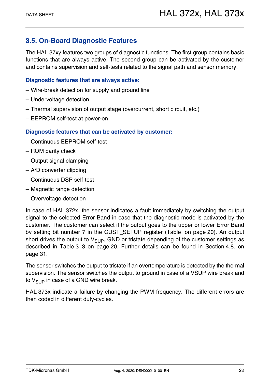# <span id="page-21-0"></span>**3.5. On-Board Diagnostic Features**

The HAL 37xy features two groups of diagnostic functions. The first group contains basic functions that are always active. The second group can be activated by the customer and contains supervision and self-tests related to the signal path and sensor memory.

#### **Diagnostic features that are always active:**

- Wire-break detection for supply and ground line
- Undervoltage detection
- Thermal supervision of output stage (overcurrent, short circuit, etc.)
- EEPROM self-test at power-on

#### **Diagnostic features that can be activated by customer:**

- Continuous EEPROM self-test
- ROM parity check
- Output signal clamping
- A/D converter clipping
- Continuous DSP self-test
- Magnetic range detection
- Overvoltage detection

In case of HAL 372x, the sensor indicates a fault immediately by switching the output signal to the selected Error Band in case that the diagnostic mode is activated by the customer. The customer can select if the output goes to the upper or lower Error Band by setting bit number 7 in the CUST\_SETUP register ([Table on page 20](#page-19-2)). An output short drives the output to  $V_{SIIP}$ , GND or tristate depending of the customer settings as described in [Table 3–3 on page 20](#page-19-1). Further details can be found in [Section 4.8. on](#page-30-1) [page 31.](#page-30-1)

The sensor switches the output to tristate if an overtemperature is detected by the thermal supervision. The sensor switches the output to ground in case of a VSUP wire break and to  $V_{\text{SUB}}$  in case of a GND wire break.

HAL 373x indicate a failure by changing the PWM frequency. The different errors are then coded in different duty-cycles.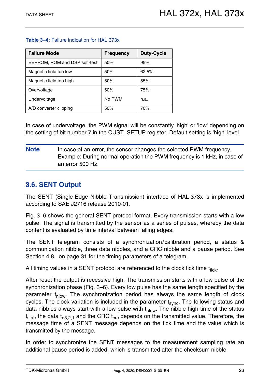#### **Table 3–4:** Failure indication for HAL 373x

| <b>Failure Mode</b>           | <b>Frequency</b> | <b>Duty-Cycle</b> |
|-------------------------------|------------------|-------------------|
| EEPROM, ROM and DSP self-test | 50%              | 95%               |
| Magnetic field too low        | 50%              | 62.5%             |
| Magnetic field too high       | 50%              | 55%               |
| Overvoltage                   | 50%              | 75%               |
| Undervoltage                  | No PWM           | n.a.              |
| A/D converter clipping        | 50%              | 70%               |

In case of undervoltage, the PWM signal will be constantly 'high' or 'low' depending on the setting of bit number 7 in the CUST\_SETUP register. Default setting is 'high' level.

**Note** In case of an error, the sensor changes the selected PWM frequency. Example: During normal operation the PWM frequency is 1 kHz, in case of an error 500 Hz.

### <span id="page-22-0"></span>**3.6. SENT Output**

The SENT (Single-Edge Nibble Transmission) interface of HAL 373x is implemented according to SAE J2716 release 2010-01.

[Fig. 3–6](#page-23-0) shows the general SENT protocol format. Every transmission starts with a low pulse. The signal is transmitted by the sensor as a series of pulses, whereby the data content is evaluated by time interval between falling edges.

The SENT telegram consists of a synchronization/calibration period, a status & communication nibble, three data nibbles, and a CRC nibble and a pause period. See [Section 4.8. on page 31](#page-30-1) for the timing parameters of a telegram.

All timing values in a SENT protocol are referenced to the clock tick time  $t_{\text{tick}}$ .

After reset the output is recessive high. The transmission starts with a low pulse of the synchronization phase ([Fig. 3–6\)](#page-23-0). Every low pulse has the same length specified by the parameter  $t_{\text{nlow}}$ . The synchronization period has always the same length of clock cycles. The clock variation is included in the parameter  $t<sub>sync</sub>$ . The following status and data nibbles always start with a low pulse with  $t_{\text{slow}}$ . The nibble high time of the status  $t<sub>stat</sub>$ , the data  $t<sub>d3.2.1</sub>$  and the CRC  $t<sub>crc</sub>$  depends on the transmitted value. Therefore, the message time of a SENT message depends on the tick time and the value which is transmitted by the message.

In order to synchronize the SENT messages to the measurement sampling rate an additional pause period is added, which is transmitted after the checksum nibble.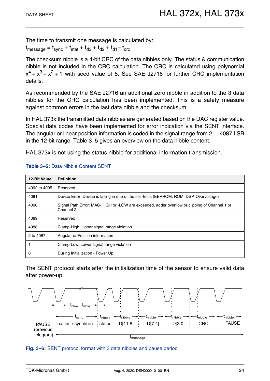The time to transmit one message is calculated by:

 $t_{\text{message}} = t_{\text{sync}} + t_{\text{stat}} + t_{\text{d3}} + t_{\text{d2}} + t_{\text{d1}} + t_{\text{crc}}$ 

The checksum nibble is a 4-bit CRC of the data nibbles only. The status & communication nibble is not included in the CRC calculation. The CRC is calculated using polynomial  $x^4 + x^3 + x^2 + 1$  with seed value of 5. See SAE J2716 for further CRC implementation details.

As recommended by the SAE J2716 an additional zero nibble in addition to the 3 data nibbles for the CRC calculation has been implemented. This is a safety measure against common errors in the last data nibble and the checksum.

In HAL 373x the transmitted data nibbles are generated based on the DAC register value. Special data codes have been implemented for error indication via the SENT interface. The angular or linear position information is coded in the signal range from 2 ... 4087 LSB in the 12-bit range. [Table 3–5](#page-23-1) gives an overview on the data nibble content.

HAL 373x is not using the status nibble for additional information transmission.

| <b>12-Bit Value</b> | <b>Definition</b>                                                                                         |  |
|---------------------|-----------------------------------------------------------------------------------------------------------|--|
| 4092 to 4095        | Reserved                                                                                                  |  |
| 4091                | Device Error: Device is failing in one of the self-tests (EEPROM, ROM, DSP, Overvoltage)                  |  |
| 4090                | Signal Path Error: MAG-HIGH or -LOW are exceeded, adder overflow or clipping of Channel 1 or<br>Channel 2 |  |
| 4089                | Reserved                                                                                                  |  |
| 4088                | Clamp-High: Upper signal range violation                                                                  |  |
| 2 to 4087           | Angular or Position information                                                                           |  |
|                     | Clamp-Low: Lower signal range violation                                                                   |  |
| 0                   | During Initialization - Power Up                                                                          |  |

#### <span id="page-23-1"></span>**Table 3–5:** Data Nibble Content SENT

The SENT protocol starts after the initialization time of the sensor to ensure valid data after power-up.



#### <span id="page-23-0"></span>**Fig. 3–6:** SENT protocol format with 3 data nibbles and pause period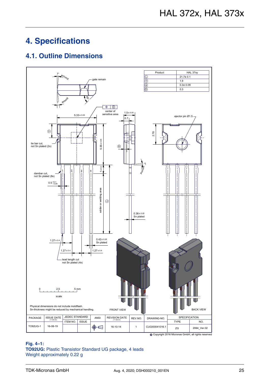# <span id="page-24-0"></span>**4. Specifications**

# <span id="page-24-1"></span>**4.1. Outline Dimensions**



c Copyright 2016 Micronas GmbH, all rights reserved

#### **Fig. 4–1: TO92UG:** Plastic Transistor Standard UG package, 4 leads Weight approximately 0.22 g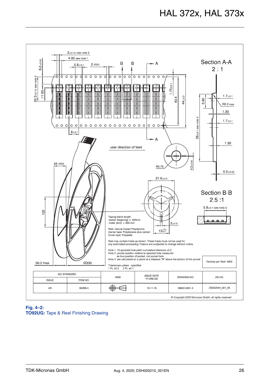

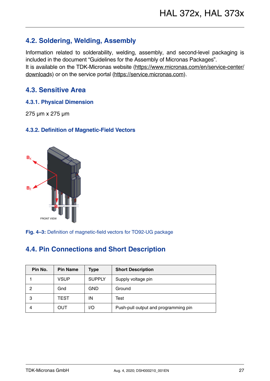# <span id="page-26-0"></span>**4.2. Soldering, Welding, Assembly**

Information related to solderability, welding, assembly, and second-level packaging is included in the document "Guidelines for the Assembly of Micronas Packages". It is available on the TDK-Micronas website [\(https://www.micronas.com/en/service-center/](http://www.micronas.com/en/service-center/downloads) [downloads](http://www.micronas.com/en/service-center/downloads)) or on the service portal [\(https://service.micronas.com\)](http://service.micronas.com).

### <span id="page-26-1"></span>**4.3. Sensitive Area**

#### <span id="page-26-2"></span>**4.3.1. Physical Dimension**

275 µm x 275 µm

#### <span id="page-26-3"></span>**4.3.2. Definition of Magnetic-Field Vectors**



**Fig. 4–3:** Definition of magnetic-field vectors for TO92-UG package

# <span id="page-26-4"></span>**4.4. Pin Connections and Short Description**

| Pin No. | <b>Pin Name</b> | Type          | <b>Short Description</b>             |
|---------|-----------------|---------------|--------------------------------------|
|         | <b>VSUP</b>     | <b>SUPPLY</b> | Supply voltage pin                   |
| 2       | Gnd             | <b>GND</b>    | Ground                               |
| 3       | <b>TEST</b>     | ΙN            | Test                                 |
|         | OUT             | I/O           | Push-pull output and programming pin |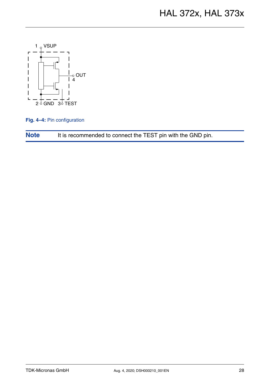

**Fig. 4–4:** Pin configuration

| <b>Note</b> | It is recommended to connect the TEST pin with the GND pin. |  |
|-------------|-------------------------------------------------------------|--|
|-------------|-------------------------------------------------------------|--|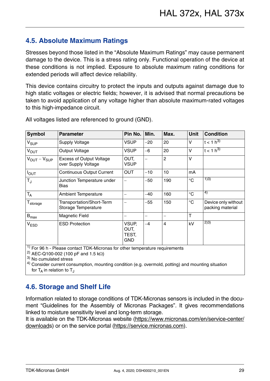# <span id="page-28-0"></span>**4.5. Absolute Maximum Ratings**

Stresses beyond those listed in the "Absolute Maximum Ratings" may cause permanent damage to the device. This is a stress rating only. Functional operation of the device at these conditions is not implied. Exposure to absolute maximum rating conditions for extended periods will affect device reliability.

This device contains circuitry to protect the inputs and outputs against damage due to high static voltages or electric fields; however, it is advised that normal precautions be taken to avoid application of any voltage higher than absolute maximum-rated voltages to this high-impedance circuit.

| <b>Parameter</b>                                       | Pin No.                              | Min.                     | Max.           | <b>Unit</b>  | <b>Condition</b>                        |
|--------------------------------------------------------|--------------------------------------|--------------------------|----------------|--------------|-----------------------------------------|
| <b>Supply Voltage</b>                                  | VSUP                                 | $-20$                    | 20             | V            | $t < 1 h^{3}$                           |
| Output Voltage                                         | <b>VSUP</b>                          | $-6$                     | 20             | V            | $t < 1 h^{3}$                           |
| <b>Excess of Output Voltage</b><br>over Supply Voltage | OUT,<br>VSUP                         | $\overline{\phantom{0}}$ | $\overline{2}$ | V            |                                         |
| <b>Continuous Output Current</b>                       | <b>OUT</b>                           | $-10$                    | 10             | mA           |                                         |
| Junction Temperature under<br>Bias                     | $\overline{\phantom{0}}$             | $-50$                    | 190            | $^{\circ}$ C | 1)3)                                    |
| <b>Ambient Temperature</b>                             |                                      | -40                      | 160            | $^{\circ}$ C | 4)                                      |
| Transportation/Short-Term<br>Storage Temperature       |                                      | $-55$                    | 150            | $^{\circ}C$  | Device only without<br>packing material |
| <b>Magnetic Field</b>                                  |                                      |                          |                | T            |                                         |
| <b>ESD Protection</b>                                  | VSUP,<br>OUT,<br>TEST,<br><b>GND</b> | $-4$                     | $\overline{4}$ | kV           | 2)3)                                    |
|                                                        |                                      |                          |                |              |                                         |

All voltages listed are referenced to ground (GND).

 $10$  For 96 h - Please contact TDK-Micronas for other temperature requirements

2) AEC-Q100-002 (100 pF and 1.5 k $\Omega$ )

3) No cumulated stress

<sup>4)</sup> Consider current consumption, mounting condition (e.g. overmold, potting) and mounting situation for  $T_A$  in relation to  $T_A$ 

# <span id="page-28-1"></span>**4.6. Storage and Shelf Life**

Information related to storage conditions of TDK-Micronas sensors is included in the document "Guidelines for the Assembly of Micronas Packages". It gives recommendations linked to moisture sensitivity level and long-term storage.

It is available on the TDK-Micronas website [\(https://www.micronas.com/en/service-center/](http://www.micronas.com/en/service-center/downloads) [downloads](http://www.micronas.com/en/service-center/downloads)) or on the service portal [\(https://service.micronas.com\)](http://service.micronas.com).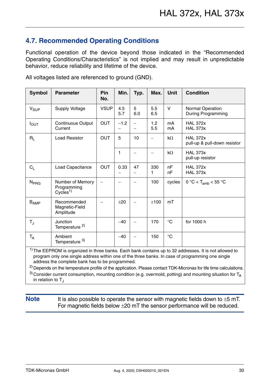# <span id="page-29-0"></span>**4.7. Recommended Operating Conditions**

Functional operation of the device beyond those indicated in the "Recommended Operating Conditions/Characteristics" is not implied and may result in unpredictable behavior, reduce reliability and lifetime of the device.

| <b>Symbol</b>           | <b>Parameter</b>                                       | Pin<br>No.  | Min.       | Typ.                     | Max.                     | <b>Unit</b>  | <b>Condition</b>                                |
|-------------------------|--------------------------------------------------------|-------------|------------|--------------------------|--------------------------|--------------|-------------------------------------------------|
| V <sub>SUP</sub>        | Supply Voltage                                         | <b>VSUP</b> | 4.5<br>5.7 | 5<br>6.0                 | 5.5<br>6.5               | $\vee$       | Normal Operation<br><b>During Programming</b>   |
| $I_{\text{OUT}}$        | Continuous Output<br>Current                           | <b>OUT</b>  | $-1.2$     |                          | 1.2<br>5.5               | mA<br>mA     | <b>HAL 372x</b><br><b>HAL 373x</b>              |
| $R_{\rm L}$             | <b>Load Resistor</b>                                   | <b>OUT</b>  | 5          | 10                       | $\overline{\phantom{0}}$ | $k\Omega$    | <b>HAL 372x</b><br>pull-up & pull-down resistor |
|                         |                                                        |             | 1          |                          | $\overline{\phantom{0}}$ | $k\Omega$    | <b>HAL 373x</b><br>pull-up resistor             |
| $C_L$                   | Load Capacitance                                       | <b>OUT</b>  | 0.33       | 47                       | 330<br>1                 | nF<br>nF     | <b>HAL 372x</b><br><b>HAL 373x</b>              |
| N <sub>PRG</sub>        | Number of Memory<br>Programming<br>Cycles <sup>1</sup> |             |            |                          | 100                      | cycles       | $0 °C < T_{amb} < 55 °C$                        |
| <b>B</b> <sub>AMP</sub> | Recommended<br>Magnetic-Field<br>Amplitude             |             | ±20        |                          | ±100                     | mT           |                                                 |
| $T_{\text{J}}$          | Junction<br>Temperature <sup>2)</sup>                  |             | $-40$      | $\overline{\phantom{0}}$ | 170                      | $^{\circ}C$  | for 1000 h                                      |
| $T_A$                   | Ambient<br>Temperature 3)                              |             | $-40$      | $\overline{\phantom{0}}$ | 150                      | $^{\circ}$ C |                                                 |

All voltages listed are referenced to ground (GND).

 $1)$ The EEPROM is organized in three banks. Each bank contains up to 32 addresses. It is not allowed to program only one single address within one of the three banks. In case of programming one single address the complete bank has to be programmed.

<sup>2)</sup> Depends on the temperature profile of the application. Please contact TDK-Micronas for life time calculations. <sup>3)</sup> Consider current consumption, mounting condition (e.g. overmold, potting) and mounting situation for  $T_A$ in relation to  $T_{\text{J}}$ 

**Note** It is also possible to operate the sensor with magnetic fields down to  $\pm$ 5 mT. For magnetic fields below  $\pm 20$  mT the sensor performance will be reduced.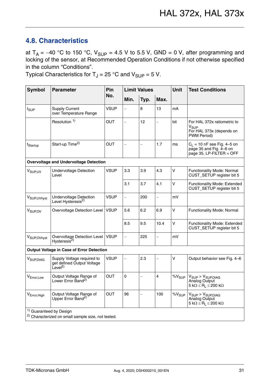# <span id="page-30-1"></span><span id="page-30-0"></span>**4.8. Characteristics**

at  $T_A = -40$  °C to 150 °C,  $V_{SUP} = 4.5$  V to 5.5 V, GND = 0 V, after programming and locking of the sensor, at Recommended Operation Conditions if not otherwise specified in the column "Conditions".

Typical Characteristics for  $T_J = 25$  °C and  $V_{\text{SUP}} = 5$  V.

| <b>Symbol</b>                      | <b>Parameter</b>                                                                   | Pin         |                          | <b>Limit Values</b>      |                          | <b>Unit</b> | <b>Test Conditions</b>                                                                     |
|------------------------------------|------------------------------------------------------------------------------------|-------------|--------------------------|--------------------------|--------------------------|-------------|--------------------------------------------------------------------------------------------|
|                                    |                                                                                    | No.         | Min.                     | Typ.                     | Max.                     |             |                                                                                            |
| $I_{SUP}$                          | <b>Supply Current</b><br>over Temperature Range                                    | <b>VSUP</b> | $\overline{\phantom{0}}$ | 8                        | 13                       | mA          |                                                                                            |
|                                    | Resolution <sup>1)</sup>                                                           | <b>OUT</b>  | $\overline{\phantom{0}}$ | 12                       | $\overline{\phantom{0}}$ | bit         | For HAL 372x ratiometric to<br>V <sub>SUP</sub><br>For HAL 373x (depends on<br>PWM Period) |
| t <sub>Startup</sub>               | Start-up Time <sup>2)</sup>                                                        | <b>OUT</b>  | $\overline{\phantom{0}}$ | $\overline{\phantom{0}}$ | 1.7                      | ms          | $C_1$ = 10 nF see Fig. 4-5 on<br>page 35 and Fig. 4-6 on<br>page 35, $LP$ -FILTER = OFF    |
|                                    | <b>Overvoltage and Undervoltage Detection</b>                                      |             |                          |                          |                          |             |                                                                                            |
| V <sub>SUP, UV</sub>               | <b>Undervoltage Detection</b><br>Level                                             | <b>VSUP</b> | 3.3                      | 3.9                      | 4.3                      | V           | Functionality Mode: Normal<br>CUST_SETUP register bit 5                                    |
|                                    |                                                                                    |             | 3.1                      | 3.7                      | 4.1                      | $\vee$      | Functionality Mode: Extended<br>CUST_SETUP register bit 5                                  |
| V <sub>SUP, UVhyst</sub>           | <b>Undervoltage Detection</b><br>Level Hysteresis <sup>2)</sup>                    | <b>VSUP</b> | $\overline{\phantom{0}}$ | 200                      | $\overline{\phantom{0}}$ | mV          |                                                                                            |
| V <sub>SUP, OV</sub>               | Overvoltage Detection Level                                                        | <b>VSUP</b> | 5.6                      | 6.2                      | 6.9                      | V           | Functionality Mode: Normal                                                                 |
|                                    |                                                                                    |             | 8.5                      | 9.5                      | 10.4                     | V           | Functionality Mode: Extended<br>CUST_SETUP register bit 5                                  |
| V <sub>SUP, OVhyst</sub>           | Overvoltage Detection Level<br>Hysteresis <sup>2)</sup>                            | <b>VSUP</b> | $\overline{\phantom{0}}$ | 225                      | $\overline{\phantom{0}}$ | mV          |                                                                                            |
|                                    | <b>Output Voltage in Case of Error Detection</b>                                   |             |                          |                          |                          |             |                                                                                            |
| <b>V</b> <sub>SUP, DIAG</sub>      | Supply Voltage required to<br>get defined Output Voltage<br>$L$ evel <sup>2)</sup> | <b>VSUP</b> | $\overline{\phantom{0}}$ | 2.3                      | $\overline{\phantom{0}}$ | V           | Output behavior see Fig. 4-6                                                               |
| V <sub>Error, Low</sub>            | Output Voltage Range of<br>Lower Error Band <sup>2)</sup>                          | <b>OUT</b>  | $\mathsf 0$              | $\overline{\phantom{0}}$ | 4                        | $\%V_{SUP}$ | $V_{SUP}$ > $V_{SUP, D IAG}$<br>Analog Output<br>$5 k\Omega \leq R_1 \leq 200 k\Omega$     |
| V <sub>Error, High</sub>           | Output Voltage Range of<br>Upper Error Band <sup>2)</sup>                          | OUT         | 96                       |                          | 100                      | $\%V_{SUP}$ | $V_{SUP}$ > $V_{SUP, D IAG}$<br>Analog Output<br>$5 k\Omega \le R_L \le 200 k\Omega$       |
| <sup>1)</sup> Guaranteed by Design | <sup>2)</sup> Characterized on small sample size, not tested.                      |             |                          |                          |                          |             |                                                                                            |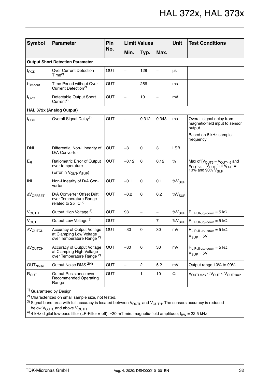| <b>Symbol</b>                           | <b>Parameter</b>                                                                                  | Pin        |                          | <b>Limit Values</b>      |                          | <b>Unit</b> | <b>Test Conditions</b>                                                                          |  |  |  |
|-----------------------------------------|---------------------------------------------------------------------------------------------------|------------|--------------------------|--------------------------|--------------------------|-------------|-------------------------------------------------------------------------------------------------|--|--|--|
|                                         |                                                                                                   | No.        | Min.                     | Typ.                     | Max.                     |             |                                                                                                 |  |  |  |
| <b>Output Short Detection Parameter</b> |                                                                                                   |            |                          |                          |                          |             |                                                                                                 |  |  |  |
| $t_{\text{OCD}}$                        | <b>Over Current Detection</b><br>Time <sup>2</sup>                                                | <b>OUT</b> | -                        | 128                      |                          | μs          |                                                                                                 |  |  |  |
| t <sub>Timeout</sub>                    | Time Period without Over<br>Current Detection <sup>2)</sup>                                       | OUT        | $\overline{\phantom{0}}$ | 256                      |                          | ms          |                                                                                                 |  |  |  |
| $I_{\text{OVC}}$                        | Detectable Output Short<br>Current <sup>2)</sup>                                                  | <b>OUT</b> | $\overline{a}$           | 10                       | $\overline{\phantom{0}}$ | mA          |                                                                                                 |  |  |  |
|                                         | HAL 372x (Analog Output)                                                                          |            |                          |                          |                          |             |                                                                                                 |  |  |  |
| $t_{\text{OSD}}$                        | Overall Signal Delay <sup>1)</sup>                                                                | <b>OUT</b> | $\overline{\phantom{0}}$ | 0.312                    | 0.343                    | ms          | Overall signal delay from<br>magnetic-field input to sensor<br>output.<br>Based on 8 kHz sample |  |  |  |
|                                         |                                                                                                   |            |                          |                          |                          |             | frequency                                                                                       |  |  |  |
| <b>DNL</b>                              | Differential Non-Linearity of<br>D/A Converter                                                    | <b>OUT</b> | $-3$                     | 0                        | 3                        | <b>LSB</b>  |                                                                                                 |  |  |  |
| $E_R$                                   | Ratiometric Error of Output<br>over temperature<br>(Error in V <sub>OUT</sub> /V <sub>SUP</sub> ) | <b>OUT</b> | $-0.12$                  | 0                        | 0.12                     | $\%$        | Max of $[VOUT5 - VOUT4.5$ and<br>$VOUT5.5 - VOUT5$ at $VOUT =$<br>10% and 90% $V_{\text{SUP}}$  |  |  |  |
| <b>INL</b>                              | Non-Linearity of D/A Con-<br>verter                                                               | <b>OUT</b> | $-0.1$                   | 0                        | 0.1                      | $\%V_{SUP}$ |                                                                                                 |  |  |  |
| $\Delta V$ OFFSET                       | D/A Converter Offset Drift<br>over Temperature Range<br>related to 25 °C $^{2)}$                  | <b>OUT</b> | $-0.2$                   | $\Omega$                 | 0.2                      | $\%V_{SUP}$ |                                                                                                 |  |  |  |
| <b>VOUTH</b>                            | Output High Voltage 3)                                                                            | OUT        | 93                       | $\overline{\phantom{0}}$ | $\overline{\phantom{0}}$ | $\%V_{SUP}$ | $R_L$ Pull-up/-down = 5 k $\Omega$                                                              |  |  |  |
| $V_{\text{OUTL}}$                       | Output Low Voltage 3)                                                                             | <b>OUT</b> | $\overline{a}$           | $\overline{\phantom{0}}$ | $\overline{7}$           | $\%V_{SUP}$ | $R_L$ Pull-up/-down = 5 k $\Omega$                                                              |  |  |  |
| <b>AVOUTCL</b>                          | Accuracy of Output Voltage<br>at Clamping Low Voltage<br>over Temperature Range <sup>2)</sup>     | <b>OUT</b> | -30                      | 0                        | 30                       | mV          | $R_L$ Pull-up/-down = 5 k $\Omega$<br>$V_{SUP} = 5V$                                            |  |  |  |
| $\Delta V_{\text{OUTCH}}$               | Accuracy of Output Voltage<br>at Clamping High Voltage<br>over Temperature Range <sup>2)</sup>    | <b>OUT</b> | $-30$                    | 0                        | 30                       | mV          | $R_L$ Pull-up/-down = 5 k $\Omega$<br>$V_{\text{SUP}} = 5V$                                     |  |  |  |
| OUT <sub>Noise</sub>                    | Output Noise RMS <sup>2)4)</sup>                                                                  | <b>OUT</b> | $\overline{\phantom{0}}$ | $\overline{2}$           | 5.2                      | mV          | Output range 10% to 90%                                                                         |  |  |  |
| $R_{OUT}$                               | Output Resistance over<br><b>Recommended Operating</b><br>Range                                   | <b>OUT</b> |                          | 1                        | 10                       | $\Omega$    | $V_{\text{OUTLmax}} \leq V_{\text{OUT}} \leq V_{\text{OUTHmin}}$                                |  |  |  |

1) Guaranteed by Design

2) Characterized on small sample size, not tested.

 $3)$  Signal band area with full accuracy is located between  $V_{\text{OUTL}}$  and  $V_{\text{OUTH}}$ . The sensors accuracy is reduced below V<sub>OUTL</sub> and above V<sub>OUTH</sub>

 $^{4)}$  4 kHz digital low-pass filter (LP-Filter = off):  $\pm$ 20 mT min. magnetic-field amplitude; f $_{\text{BW}}$  = 22.5 kHz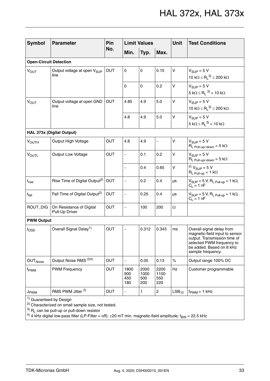| <b>Symbol</b>                      | <b>Parameter</b>                                | Pin        |                           | <b>Limit Values</b>        |                            | <b>Unit</b>       | <b>Test Conditions</b>                                                                                                                                                    |  |  |  |
|------------------------------------|-------------------------------------------------|------------|---------------------------|----------------------------|----------------------------|-------------------|---------------------------------------------------------------------------------------------------------------------------------------------------------------------------|--|--|--|
|                                    |                                                 | No.        | Min.                      | Typ.                       | Max.                       |                   |                                                                                                                                                                           |  |  |  |
| <b>Open-Circuit Detection</b>      |                                                 |            |                           |                            |                            |                   |                                                                                                                                                                           |  |  |  |
| $V_{OUT}$                          | Output voltage at open V <sub>SUP</sub><br>line | OUT        | 0                         | $\mathbf 0$                | 0.15                       | V                 | $V_{\text{SUP}} = 5 V$<br>10 k $\Omega \leq R_1^{3}$ $\leq$ 200 k $\Omega$                                                                                                |  |  |  |
|                                    |                                                 |            | $\mathsf 0$               | 0                          | 0.2                        | $\mathsf{V}$      | $V_{SUP} = 5 V$<br>$5 \text{ k}\Omega \leq R_1^{3}$ < 10 k $\Omega$                                                                                                       |  |  |  |
| <b>VOUT</b>                        | Output voltage at open GND<br>line              | OUT        | 4.85                      | 4.9                        | 5.0                        | V                 | $V_{\text{SUP}} = 5 V$<br>10 k $\Omega \leq R_1^{3}$ $\leq$ 200 k $\Omega$                                                                                                |  |  |  |
|                                    |                                                 |            | 4.8                       | 4.9                        | 5.0                        | $\mathsf{V}$      | $V_{\text{SUP}} = 5 V$<br>$5 \text{ k}\Omega \leq R_1^{3}$ < 10 k $\Omega$                                                                                                |  |  |  |
|                                    | HAL 373x (Digital Output)                       |            |                           |                            |                            |                   |                                                                                                                                                                           |  |  |  |
| $V_{\text{OUTH}}$                  | Output High Voltage                             | OUT        | 4.8                       | 4.9                        | $\qquad \qquad -$          | V                 | $V_{SIIP} = 5 V$<br>$R_L$ Pull-up/-down = 5 k $\Omega$                                                                                                                    |  |  |  |
| VOUTL                              | Output Low Voltage                              | OUT        |                           | 0.1                        | 0.2                        | V                 | $V_{\text{SUP}} = 5 V$<br>$R_L$ Pull-up/-down = 5 k $\Omega$                                                                                                              |  |  |  |
|                                    |                                                 |            | $\overline{a}$            | 0.4                        | 0.65                       | $\mathsf{V}$      | <sup>2)</sup> $V_{SUP} = 5 V$<br>$R_L$ Pull-up = 1 k $\Omega$                                                                                                             |  |  |  |
| $\mathfrak{t}_{\mathsf{rise}}$     | Rise Time of Digital Output <sup>2)</sup>       | OUT        | $\overline{a}$            | 0.2                        | 0.4                        | μs                | $V_{\text{SUP}} = 5 V$ , R <sub>L Pull-up</sub> = 1 k $\Omega$ ,<br>$C_1 = 1 nF$                                                                                          |  |  |  |
| $t_{fall}$                         | Fall Time of Digital Output <sup>2)</sup>       | OUT        | $\overline{\phantom{0}}$  | 0.25                       | 0.4                        | μs                | $V_{\text{SUP}} = 5$ V, $R_{L \text{ Pull-up}} = 1$ k $\Omega$ ,<br>$C_L = 1 nF$                                                                                          |  |  |  |
| ROUT_DIG                           | On Resistance of Digital<br>Pull-Up Driver      | OUT        | $\overline{\phantom{0}}$  | 100                        | 200                        | $\Omega$          |                                                                                                                                                                           |  |  |  |
| <b>PWM Output</b>                  |                                                 |            |                           |                            |                            |                   |                                                                                                                                                                           |  |  |  |
| $t_{\text{OSD}}$                   | Overall Signal Delay <sup>1)</sup>              | OUT        |                           | 0.312                      | 0.343                      | ms                | Overall signal delay from<br>magnetic-field input to sensor<br>output. Transmission time of<br>selected PWM frequency to<br>be added. Based on 8 kHz<br>sample frequency. |  |  |  |
| <b>OUT</b> Noise                   | Output Noise RMS <sup>2)4)</sup>                | OUT        | $\equiv$                  | 0.05                       | 0.13                       | $\%$              | Output range 100% DC                                                                                                                                                      |  |  |  |
| f <sub>PWM</sub>                   | <b>PWM Frequency</b>                            | <b>OUT</b> | 1800<br>900<br>450<br>180 | 2000<br>1000<br>500<br>200 | 2200<br>1100<br>550<br>220 | Hz                | Customer programmable                                                                                                                                                     |  |  |  |
| J <sub>PWM</sub>                   | RMS PWM Jitter <sup>2)</sup>                    | <b>OUT</b> | $\overline{\phantom{0}}$  | 1                          | $\overline{2}$             | LSB <sub>12</sub> | $f_{\text{PWM}} = 1$ kHz                                                                                                                                                  |  |  |  |
| <sup>1)</sup> Guaranteed by Design |                                                 |            |                           |                            |                            |                   |                                                                                                                                                                           |  |  |  |

<sup>2)</sup> Characterized on small sample size, not tested.

 $^{3)}$  R<sub>L</sub> can be pull-up or pull-down resistor

4) 4 kHz digital low-pass filter (LP-Filter = off):  $\pm$ 20 mT min. magnetic-field amplitude; f<sub>BW</sub> = 22.5 kHz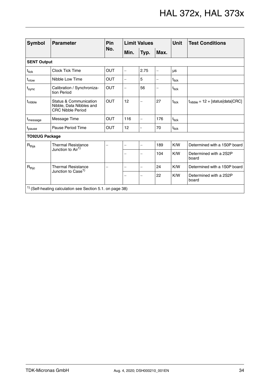| <b>Symbol</b>         | <b>Parameter</b>                                                                          | Pin        | <b>Limit Values</b>      |                          |                          | <b>Unit</b>       | <b>Test Conditions</b>                |
|-----------------------|-------------------------------------------------------------------------------------------|------------|--------------------------|--------------------------|--------------------------|-------------------|---------------------------------------|
|                       |                                                                                           | No.        | Min.                     | Typ.                     | Max.                     |                   |                                       |
| <b>SENT Output</b>    |                                                                                           |            |                          |                          |                          |                   |                                       |
| $t_{\sf tick}$        | <b>Clock Tick Time</b>                                                                    | <b>OUT</b> | L,                       | 2.75                     | $\overline{\phantom{0}}$ | μs                |                                       |
| t <sub>nlow</sub>     | Nibble Low Time                                                                           | <b>OUT</b> | $\overline{\phantom{0}}$ | 5                        | -                        | $t_{\text{tick}}$ |                                       |
| t <sub>sync</sub>     | Calibration / Synchroniza-<br>tion Period                                                 | <b>OUT</b> | $\overline{\phantom{0}}$ | 56                       | $\overline{\phantom{0}}$ | t <sub>tick</sub> |                                       |
| t <sub>nibble</sub>   | <b>Status &amp; Communication</b><br>Nibble, Data Nibbles and<br><b>CRC Nibble Period</b> | <b>OUT</b> | 12                       |                          | 27                       | t <sub>tick</sub> | $t_{nibble} = 12 + [status data CRC]$ |
| t <sub>message</sub>  | Message Time                                                                              | <b>OUT</b> | 116                      | $\overline{\phantom{0}}$ | 176                      | $t_{\sf tick}$    |                                       |
| t <sub>pause</sub>    | Pause Period Time                                                                         | <b>OUT</b> | 12                       | $\blacksquare$           | 70                       | t <sub>tick</sub> |                                       |
| <b>TO92UG Package</b> |                                                                                           |            |                          |                          |                          |                   |                                       |
| $R_{thja}$            | <b>Thermal Resistance</b>                                                                 |            | $\overline{\phantom{0}}$ | $\overline{\phantom{0}}$ | 189                      | K/W               | Determined with a 1S0P board          |
|                       | Junction to Air <sup>1)</sup>                                                             |            |                          | $\overline{\phantom{0}}$ | 104                      | K/W               | Determined with a 2S2P<br>board       |
| $R_{\text{thic}}$     | <b>Thermal Resistance</b>                                                                 |            | -                        | $\qquad \qquad -$        | 24                       | K/W               | Determined with a 1S0P board          |
|                       | Junction to Case <sup>1)</sup>                                                            |            | -                        |                          | 22                       | K/W               | Determined with a 2S2P<br>board       |
|                       | $1)$ (Self-heating calculation see Section 5.1. on page 38)                               |            |                          |                          |                          |                   |                                       |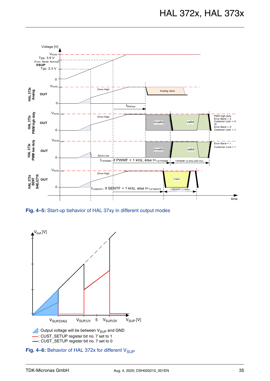

<span id="page-34-0"></span>**Fig. 4–5:** Start-up behavior of HAL 37xy in different output modes



<span id="page-34-1"></span>Fig. 4–6: Behavior of HAL 372x for different V<sub>SUP</sub>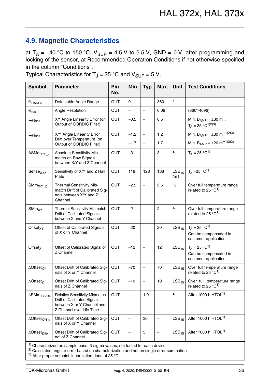# <span id="page-35-0"></span>**4.9. Magnetic Characteristics**

at  $T_A = -40$  °C to 150 °C,  $V_{SUP} = 4.5$  V to 5.5 V, GND = 0 V, after programming and locking of the sensor, at Recommended Operation Conditions if not otherwise specified in the column "Conditions".

Typical Characteristics for  $T_J = 25$  °C and  $V_{\text{SUP}} = 5$  V.

| <b>Symbol</b>                        | <b>Parameter</b>                                                                                                              | Pin<br>No. | Min.                     | Typ.                                                                                        | Max.                     | <b>Unit</b>              | <b>Test Conditions</b>                                                  |  |  |  |
|--------------------------------------|-------------------------------------------------------------------------------------------------------------------------------|------------|--------------------------|---------------------------------------------------------------------------------------------|--------------------------|--------------------------|-------------------------------------------------------------------------|--|--|--|
| $\Theta$ RANGE                       | Detectable Angle Range                                                                                                        | <b>OUT</b> | $\Omega$                 | $\equiv$                                                                                    | 360                      | $\circ$                  |                                                                         |  |  |  |
| $\Theta_{\sf res}$                   | Angle Resolution                                                                                                              | OUT        | $\qquad \qquad -$        | $\overline{\phantom{m}}$                                                                    | 0.09                     | $\circ$                  | $(360^{\circ}/4096)$                                                    |  |  |  |
| $\mathsf{E}_{\Theta \mathsf{linxy}}$ | XY Angle Linearity Error (on<br>Output of CORDIC Filter)                                                                      | <b>OUT</b> | $-0.5$                   | $\overline{\phantom{m}}$                                                                    | 0.5                      | $\circ$                  | Min. $B_{AMP} = \pm 30$ mT,<br>$T_A = 25 °C^{1/2}}^{(3)}$               |  |  |  |
| $E_{\text{Olinxy}}$                  | X/Y Angle Linearity Error                                                                                                     | <b>OUT</b> | $-1.2$                   | $\equiv$                                                                                    | 1.2                      | $\circ$                  | Min. $B_{AMP} = \pm 30 \text{ mT}^{1/2}$ <sup>3)</sup>                  |  |  |  |
|                                      | Drift over Temperature (on<br>Output of CORDIC Filter)                                                                        |            | $-1.7$                   | $\overline{\phantom{m}}$                                                                    | 1.7                      |                          | Min. $B_{AMP} = \pm 20$ mT <sup>1)2)3)</sup>                            |  |  |  |
| $ASMmX/Y_Z$                          | Absolute Sensitivity Mis-<br>match on Raw Signals<br>between X/Y and Z Channel                                                | OUT        | $-3$                     | $\hspace{0.1in} \hspace{0.1in} \hspace{0.1in} \hspace{0.1in} \hspace{0.1in} \hspace{0.1in}$ | 3                        | $\%$                     | $T_A = 25 °C^{1}$                                                       |  |  |  |
| Sensexyz                             | Sensitivity of X/Y and Z Hall<br>Plate                                                                                        | OUT        | 118                      | 128                                                                                         | 138                      | LSB <sub>15</sub><br>/mT | $T_A = 25 °C^{1}$                                                       |  |  |  |
| $S\text{Mm}_{X/Y\_Z}$                | Thermal Sensitivity Mis-<br>match Drift of Calibrated Sig-<br>nals between X/Y and Z<br>Channel                               | <b>OUT</b> | $-2.5$                   | $\overline{\phantom{m}}$                                                                    | 2.5                      | $\%$                     | Over full temperature range<br>related to 25 $^{\circ}$ C <sup>1)</sup> |  |  |  |
| SMm <sub>XY</sub>                    | <b>Thermal Sensitivity Mismatch</b><br>Drift of Calibrated Signals<br>between X and Y Channel                                 | <b>OUT</b> | $-2$                     | $\overline{\phantom{0}}$                                                                    | $\overline{c}$           | $\%$                     | Over full temperature range<br>related to $25^{\circ}C^{1}$             |  |  |  |
| Offset <sub>XY</sub>                 | Offset of Calibrated Signals<br>of X or Y Channel                                                                             | <b>OUT</b> | $-20$                    |                                                                                             | 20                       | LSB <sub>15</sub>        | $T_A = 25 °C^{1}$<br>Can be compensated in<br>customer application      |  |  |  |
| Offset $7$                           | Offset of Calibrated Signal of<br>Z Channel                                                                                   | <b>OUT</b> | $-12$                    | $\qquad \qquad -$                                                                           | 12                       | LSB <sub>15</sub>        | $T_A = 25 °C^{1}$<br>Can be compensated in<br>customer application      |  |  |  |
| $\triangle$ Offset <sub>XY</sub>     | Offset Drift of Calibrated Sig-<br>nals of X or Y Channel                                                                     | <b>OUT</b> | $-70$                    | $\qquad \qquad -$                                                                           | 70                       | LSB <sub>15</sub>        | Over full temperature range<br>related to 25 $^{\circ}$ C <sup>1)</sup> |  |  |  |
| $\triangle$ Offset <sub>z</sub>      | Offset Drift of Calibrated Sig-<br>nals of Z Channel                                                                          | OUT        | $-10$                    | $\qquad \qquad -$                                                                           | 10                       | LSB <sub>15</sub>        | Over full temperature range<br>related to 25 $\degree$ C <sup>1)</sup>  |  |  |  |
| $\Delta$ SMm <sub>XYZlife</sub>      | <b>Relative Sensitivity Mismatch</b><br>Drift of Calibrated Signals<br>between X or Y Channel and<br>Z Channel over Life Time | OUT        | $\overline{\phantom{0}}$ | 1.0                                                                                         |                          | $\%$                     | After 1000 h HTOL <sup>1)</sup>                                         |  |  |  |
| $\triangle$ Offset $_{XYlife}$       | Offset Drift of Calibrated Sig-<br>nals of X or Y Channel                                                                     | OUT        | $\qquad \qquad -$        | 30                                                                                          | $\overline{\phantom{0}}$ | LSB <sub>15</sub>        | After 1000 h HTOL <sup>1)</sup>                                         |  |  |  |
| $\triangle$ Offset <sub>Zlife</sub>  | Offset Drift of Calibrated Sig-<br>nal of Z Channel                                                                           | OUT        |                          | $\mathbf 5$                                                                                 |                          | LSB <sub>15</sub>        | After 1000 h HTOL <sup>1)</sup>                                         |  |  |  |
|                                      | <sup>1)</sup> Characterized on sample base, 3-sigma values, not tested for each device                                        |            |                          |                                                                                             |                          |                          |                                                                         |  |  |  |

<sup>2)</sup> Calculated angular error based on characterization and not on single error summation

 $3)$  After proper setpoint linearization done at 25 °C.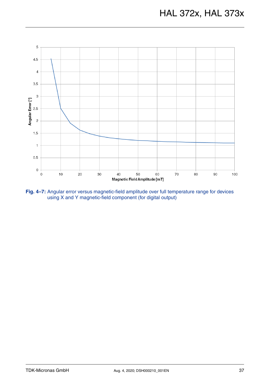

**Fig. 4–7:** Angular error versus magnetic-field amplitude over full temperature range for devices using X and Y magnetic-field component (for digital output)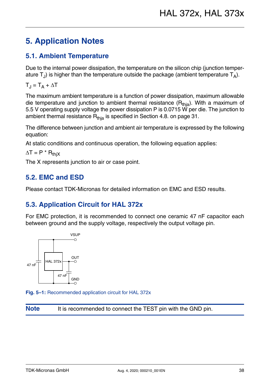# <span id="page-37-0"></span>**5. Application Notes**

## <span id="page-37-4"></span><span id="page-37-1"></span>**5.1. Ambient Temperature**

Due to the internal power dissipation, the temperature on the silicon chip (junction temperature  $T_{J}$ ) is higher than the temperature outside the package (ambient temperature  $T_{A}$ ).

 $T_J = T_A + \Delta T$ 

The maximum ambient temperature is a function of power dissipation, maximum allowable die temperature and junction to ambient thermal resistance  $(R<sub>thia</sub>)$ . With a maximum of 5.5 V operating supply voltage the power dissipation P is 0.0715 W per die. The junction to ambient thermal resistance  $R<sub>thia</sub>$  is specified in [Section 4.8. on page 31.](#page-30-1)

The difference between junction and ambient air temperature is expressed by the following equation:

At static conditions and continuous operation, the following equation applies:

 $\Delta T = P^* R_{\text{thiX}}$ 

The X represents junction to air or case point.

### <span id="page-37-2"></span>**5.2. EMC and ESD**

Please contact TDK-Micronas for detailed information on EMC and ESD results.

# <span id="page-37-3"></span>**5.3. Application Circuit for HAL 372x**

For EMC protection, it is recommended to connect one ceramic 47 nF capacitor each between ground and the supply voltage, respectively the output voltage pin.



**Fig. 5–1:** Recommended application circuit for HAL 372x

**Note** It is recommended to connect the TEST pin with the GND pin.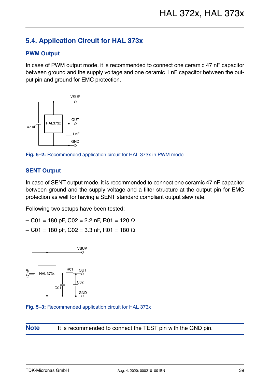# <span id="page-38-0"></span>**5.4. Application Circuit for HAL 373x**

#### **PWM Output**

In case of PWM output mode, it is recommended to connect one ceramic 47 nF capacitor between ground and the supply voltage and one ceramic 1 nF capacitor between the output pin and ground for EMC protection.



**Fig. 5–2:** Recommended application circuit for HAL 373x in PWM mode

#### **SENT Output**

In case of SENT output mode, it is recommended to connect one ceramic 47 nF capacitor between ground and the supply voltage and a filter structure at the output pin for EMC protection as well for having a SENT standard compliant output slew rate.

Following two setups have been tested:

- $-$  C01 = 180 pF, C02 = 2.2 nF, R01 = 120  $\Omega$
- $-$  C01 = 180 pF, C02 = 3.3 nF, R01 = 180  $\Omega$



**Fig. 5–3:** Recommended application circuit for HAL 373x

**Note** It is recommended to connect the TEST pin with the GND pin.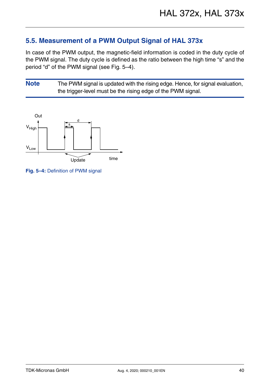# <span id="page-39-0"></span>**5.5. Measurement of a PWM Output Signal of HAL 373x**

In case of the PWM output, the magnetic-field information is coded in the duty cycle of the PWM signal. The duty cycle is defined as the ratio between the high time "s" and the period "d" of the PWM signal (see [Fig. 5–4](#page-39-1)).

**Note** The PWM signal is updated with the rising edge. Hence, for signal evaluation, the trigger-level must be the rising edge of the PWM signal.



<span id="page-39-1"></span>**Fig. 5–4:** Definition of PWM signal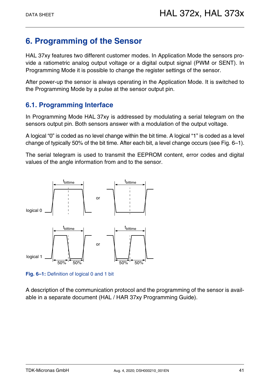# <span id="page-40-0"></span>**6. Programming of the Sensor**

HAL 37xy features two different customer modes. In Application Mode the sensors provide a ratiometric analog output voltage or a digital output signal (PWM or SENT). In Programming Mode it is possible to change the register settings of the sensor.

After power-up the sensor is always operating in the Application Mode. It is switched to the Programming Mode by a pulse at the sensor output pin.

# <span id="page-40-1"></span>**6.1. Programming Interface**

In Programming Mode HAL 37xy is addressed by modulating a serial telegram on the sensors output pin. Both sensors answer with a modulation of the output voltage.

A logical "0" is coded as no level change within the bit time. A logical "1" is coded as a level change of typically 50% of the bit time. After each bit, a level change occurs [\(see Fig. 6–1\)](#page-40-2).

The serial telegram is used to transmit the EEPROM content, error codes and digital values of the angle information from and to the sensor.



<span id="page-40-2"></span>**Fig. 6–1:** Definition of logical 0 and 1 bit

A description of the communication protocol and the programming of the sensor is available in a separate document (HAL / HAR 37xy Programming Guide).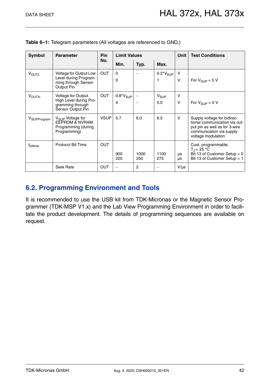| <b>Symbol</b>           | <b>Parameter</b>                                                                                 | <b>Pin</b>  | <b>Limit Values</b> |             |                     | <b>Unit</b> | <b>Test Conditions</b>                                                                                                                          |
|-------------------------|--------------------------------------------------------------------------------------------------|-------------|---------------------|-------------|---------------------|-------------|-------------------------------------------------------------------------------------------------------------------------------------------------|
|                         |                                                                                                  | No.         | Min.                | Typ.        | Max.                |             |                                                                                                                                                 |
| <b>VOUTL</b>            | Voltage for Output Low<br>Level during Program-<br>ming through Sensor<br>Output Pin             | <b>OUT</b>  | 0<br>0              |             | $0.2^*V_{SUP}$<br>1 | V<br>$\vee$ | For $V_{\text{SUP}} = 5 V$                                                                                                                      |
| <b>VOUTH</b>            | Voltage for Output<br>High Level during Pro-<br>gramming through<br>Sensor Output Pin            | <b>OUT</b>  | $0.8*V_{SUP}$<br>4  |             | $V_{SUP}$<br>5.0    | v<br>$\vee$ | For $V_{SIIP} = 5 V$                                                                                                                            |
| V <sub>SUPProgram</sub> | V <sub>SUP</sub> Voltage for<br><b>EEPROM &amp; NVRAM</b><br>Programming (during<br>Programming) | <b>VSUP</b> | 5.7                 | 6.0         | 6.5                 | v           | Supply voltage for bidirec-<br>tional communication via out-<br>put pin as well as for 3-wire<br>communication via supply<br>voltage modulation |
| t <sub>bittime</sub>    | <b>Protocol Bit Time</b>                                                                         | <b>OUT</b>  | 900<br>225          | 1000<br>250 | 1100<br>275         | μs<br>μs    | Cust. programmable,<br>$T_{\rm J}$ = 25 °C<br>Bit 13 of Customer Setup = $0$<br>Bit 13 of Customer Setup $= 1$                                  |
|                         | <b>Slew Rate</b>                                                                                 | <b>OUT</b>  |                     | 2           |                     | $V/\mu s$   |                                                                                                                                                 |

**Table 6–1:** Telegram parameters (All voltages are referenced to GND.)

### <span id="page-41-0"></span>**6.2. Programming Environment and Tools**

It is recommended to use the USB kit from TDK-Micronas or the Magnetic Sensor Programmer (TDK-MSP V1.x) and the Lab View Programming Environment in order to facilitate the product development. The details of programming sequences are available on request.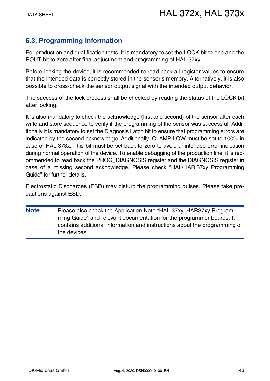# <span id="page-42-0"></span>**6.3. Programming Information**

For production and qualification tests, it is mandatory to set the LOCK bit to one and the POUT bit to zero after final adjustment and programming of HAL 37xy.

Before locking the device, it is recommended to read back all register values to ensure that the intended data is correctly stored in the sensor's memory. Alternatively, it is also possible to cross-check the sensor output signal with the intended output behavior.

The success of the lock process shall be checked by reading the status of the LOCK bit after locking.

It is also mandatory to check the acknowledge (first and second) of the sensor after each write and store sequence to verify if the programming of the sensor was successful. Additionally it is mandatory to set the Diagnosis Latch bit to ensure that programming errors are indicated by the second acknowledge. Additionally, CLAMP-LOW must be set to 100% in case of HAL 373x. This bit must be set back to zero to avoid unintended error indication during normal operation of the device. To enable debugging of the production line, it is recommended to read back the PROG\_DIAGNOSIS register and the DIAGNOSIS register in case of a missing second acknowledge. Please check "HAL/HAR 37xy Programming Guide" for further details.

Electrostatic Discharges (ESD) may disturb the programming pulses. Please take precautions against ESD.

**Note** Please also check the Application Note "HAL 37xy, HAR37xy Programming Guide" and relevant documentation for the programmer boards. It contains additional information and instructions about the programming of the devices.